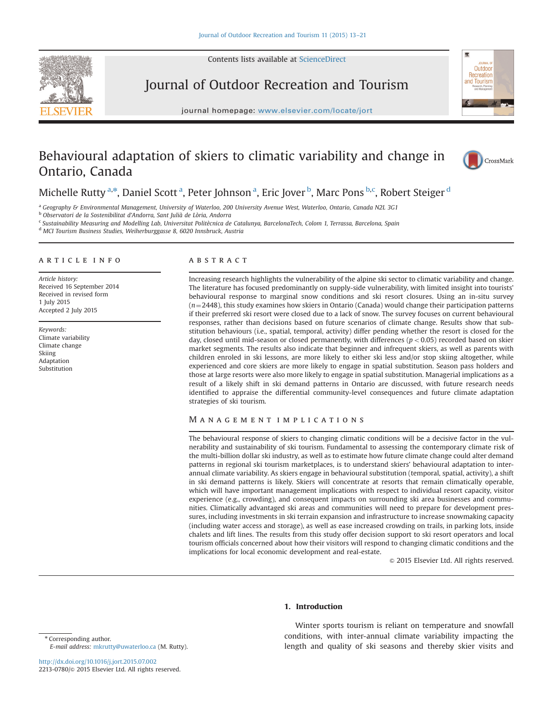Contents lists available at ScienceDirect



Journal of Outdoor Recreation and Tourism



# Behavioural adaptation of skiers to climatic variability and change in Ontario, Canada





## Michelle Rutty <sup>a,\*</sup>, Daniel Scott <sup>a</sup>, Peter Johnson <sup>a</sup>, Eric Jover <sup>b</sup>, Marc Pons <sup>b,c</sup>, Robert Steiger <sup>d</sup>

<sup>a</sup> Geography & Environmental Management, University of Waterloo, 200 University Avenue West, Waterloo, Ontario, Canada N2L 3G1

<sup>b</sup> Observatori de la Sostenibilitat d'Andorra, Sant Julià de Lòria, Andorra

<sup>c</sup> Sustainability Measuring and Modelling Lab, Universitat Politècnica de Catalunya, BarcelonaTech, Colom 1, Terrassa, Barcelona, Spain

<sup>d</sup> MCI Tourism Business Studies, Weiherburggasse 8, 6020 Innsbruck, Austria

Article history: Received 16 September 2014 Received in revised form 1 July 2015 Accepted 2 July 2015

Keywords: Climate variability Climate change Skiing Adaptation Substitution

Increasing research highlights the vulnerability of the alpine ski sector to climatic variability and change. The literature has focused predominantly on supply-side vulnerability, with limited insight into tourists' behavioural response to marginal snow conditions and ski resort closures. Using an in-situ survey  $(n=2448)$ , this study examines how skiers in Ontario (Canada) would change their participation patterns if their preferred ski resort were closed due to a lack of snow. The survey focuses on current behavioural responses, rather than decisions based on future scenarios of climate change. Results show that substitution behaviours (i.e., spatial, temporal, activity) differ pending whether the resort is closed for the day, closed until mid-season or closed permanently, with differences ( $p < 0.05$ ) recorded based on skier market segments. The results also indicate that beginner and infrequent skiers, as well as parents with children enroled in ski lessons, are more likely to either ski less and/or stop skiing altogether, while experienced and core skiers are more likely to engage in spatial substitution. Season pass holders and those at large resorts were also more likely to engage in spatial substitution. Managerial implications as a result of a likely shift in ski demand patterns in Ontario are discussed, with future research needs identified to appraise the differential community-level consequences and future climate adaptation strategies of ski tourism.

The behavioural response of skiers to changing climatic conditions will be a decisive factor in the vulnerability and sustainability of ski tourism. Fundamental to assessing the contemporary climate risk of the multi-billion dollar ski industry, as well as to estimate how future climate change could alter demand patterns in regional ski tourism marketplaces, is to understand skiers' behavioural adaptation to interannual climate variability. As skiers engage in behavioural substitution (temporal, spatial, activity), a shift in ski demand patterns is likely. Skiers will concentrate at resorts that remain climatically operable, which will have important management implications with respect to individual resort capacity, visitor experience (e.g., crowding), and consequent impacts on surrounding ski area businesses and communities. Climatically advantaged ski areas and communities will need to prepare for development pressures, including investments in ski terrain expansion and infrastructure to increase snowmaking capacity (including water access and storage), as well as ease increased crowding on trails, in parking lots, inside chalets and lift lines. The results from this study offer decision support to ski resort operators and local tourism officials concerned about how their visitors will respond to changing climatic conditions and the implications for local economic development and real-estate.

 $\odot$  2015 Elsevier Ltd. All rights reserved.

### 1. Introduction

Winter sports tourism is reliant on temperature and snowfall conditions, with inter-annual climate variability impacting the length and quality of ski seasons and thereby skier visits and

\* Corresponding author. E-mail address: [mkrutty@uwaterloo.ca](mailto:mkrutty@uwaterloo.ca) (M. Rutty).

<http://dx.doi.org/10.1016/j.jort.2015.07.002> 2213-0780/@ 2015 Elsevier Ltd. All rights reserved.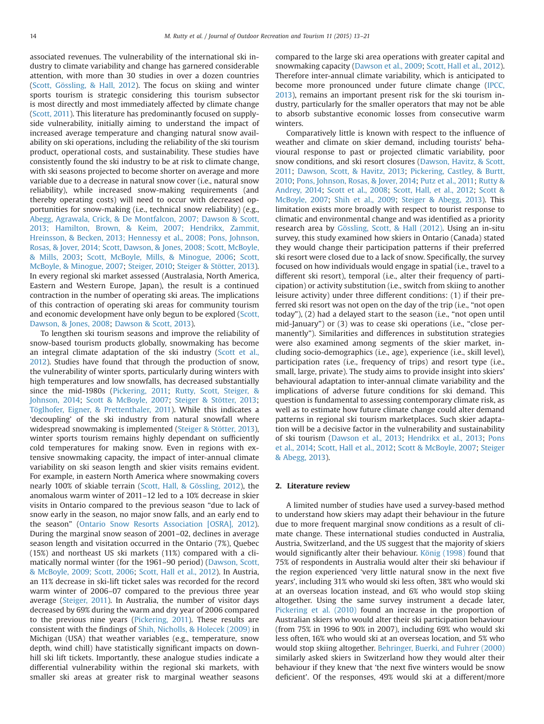associated revenues. The vulnerability of the international ski industry to climate variability and change has garnered considerable attention, with more than 30 studies in over a dozen countries ([Scott, Gössling, & Hall, 2012](#page-7-0)). The focus on skiing and winter sports tourism is strategic considering this tourism subsector is most directly and most immediately affected by climate change ([Scott, 2011\)](#page-7-0). This literature has predominantly focused on supplyside vulnerability, initially aiming to understand the impact of increased average temperature and changing natural snow availability on ski operations, including the reliability of the ski tourism product, operational costs, and sustainability. These studies have consistently found the ski industry to be at risk to climate change, with ski seasons projected to become shorter on average and more variable due to a decrease in natural snow cover (i.e., natural snow reliability), while increased snow-making requirements (and thereby operating costs) will need to occur with decreased opportunities for snow-making (i.e., technical snow reliability) (e.g., [Abegg, Agrawala, Crick,](#page-7-0) [& De Montfalcon, 2007; Dawson](#page-7-0) & [Scott,](#page-7-0) [2013; Hamilton, Brown, & Keim, 2007; Hendrikx, Zammit,](#page-7-0) [Hreinsson, & Becken, 2013; Hennessy et al., 2008; Pons, Johnson,](#page-7-0) [Rosas, & Jover, 2014; Scott, Dawson, & Jones, 2008; Scott, McBoyle,](#page-7-0) [& Mills, 2003;](#page-7-0) [Scott, McBoyle, Mills,](#page-7-0) & [Minogue, 2006](#page-7-0); [Scott,](#page-7-0) [McBoyle,](#page-7-0) [& Minogue, 2007;](#page-7-0) [Steiger, 2010;](#page-8-0) [Steiger & Stötter, 2013\)](#page-8-0). In every regional ski market assessed (Australasia, North America, Eastern and Western Europe, Japan), the result is a continued contraction in the number of operating ski areas. The implications of this contraction of operating ski areas for community tourism and economic development have only begun to be explored [\(Scott,](#page-7-0) [Dawson, & Jones, 2008](#page-7-0); [Dawson & Scott, 2013](#page-7-0)).

To lengthen ski tourism seasons and improve the reliability of snow-based tourism products globally, snowmaking has become an integral climate adaptation of the ski industry ([Scott et al.,](#page-7-0) [2012](#page-7-0)). Studies have found that through the production of snow, the vulnerability of winter sports, particularly during winters with high temperatures and low snowfalls, has decreased substantially since the mid-1980s ([Pickering, 2011;](#page-7-0) [Rutty, Scott, Steiger,](#page-7-0) & [Johnson, 2014](#page-7-0); [Scott](#page-7-0) [& McBoyle, 2007;](#page-7-0) [Steiger & Stötter, 2013;](#page-8-0) [Töglhofer, Eigner,](#page-8-0) [& Prettenthaler, 2011](#page-8-0)). While this indicates a 'decoupling' of the ski industry from natural snowfall where widespread snowmaking is implemented ([Steiger](#page-8-0) & [Stötter, 2013\)](#page-8-0), winter sports tourism remains highly dependant on sufficiently cold temperatures for making snow. Even in regions with extensive snowmaking capacity, the impact of inter-annual climate variability on ski season length and skier visits remains evident. For example, in eastern North America where snowmaking covers nearly 100% of skiable terrain [\(Scott, Hall, & Gössling, 2012](#page-8-0)), the anomalous warm winter of 2011–12 led to a 10% decrease in skier visits in Ontario compared to the previous season "due to lack of snow early in the season, no major snow falls, and an early end to the season" [\(Ontario Snow Resorts Association \[OSRA\], 2012\)](#page-7-0). During the marginal snow season of 2001–02, declines in average season length and visitation occurred in the Ontario (7%), Quebec (15%) and northeast US ski markets (11%) compared with a climatically normal winter (for the 1961–90 period) [\(Dawson, Scott,](#page-7-0) [& McBoyle, 2009; Scott, 2006;](#page-7-0) [Scott, Hall et al., 2012\)](#page-7-0). In Austria, an 11% decrease in ski-lift ticket sales was recorded for the record warm winter of 2006–07 compared to the previous three year average ([Steiger, 2011\)](#page-8-0). In Australia, the number of visitor days decreased by 69% during the warm and dry year of 2006 compared to the previous nine years [\(Pickering, 2011](#page-7-0)). These results are consistent with the findings of [Shih, Nicholls, & Holecek \(2009\)](#page-8-0) in Michigan (USA) that weather variables (e.g., temperature, snow depth, wind chill) have statistically significant impacts on downhill ski lift tickets. Importantly, these analogue studies indicate a differential vulnerability within the regional ski markets, with smaller ski areas at greater risk to marginal weather seasons compared to the large ski area operations with greater capital and snowmaking capacity ([Dawson et al., 2009](#page-7-0); [Scott, Hall et al., 2012\)](#page-8-0). Therefore inter-annual climate variability, which is anticipated to become more pronounced under future climate change ([IPCC,](#page-7-0) [2013\)](#page-7-0), remains an important present risk for the ski tourism industry, particularly for the smaller operators that may not be able to absorb substantive economic losses from consecutive warm winters.

Comparatively little is known with respect to the influence of weather and climate on skier demand, including tourists' behavioural response to past or projected climatic variability, poor snow conditions, and ski resort closures [\(Dawson, Havitz, & Scott,](#page-7-0) [2011;](#page-7-0) [Dawson, Scott,](#page-7-0) & [Havitz, 2013](#page-7-0); [Pickering, Castley,](#page-7-0) [& Burtt,](#page-7-0) [2010;](#page-7-0) [Pons, Johnson, Rosas, & Jover, 2014;](#page-7-0) [Putz et al., 2011](#page-7-0); [Rutty](#page-7-0) & [Andrey, 2014](#page-7-0); [Scott et al., 2008;](#page-7-0) [Scott, Hall, et al., 2012;](#page-7-0) [Scott](#page-8-0) & [McBoyle, 2007](#page-8-0); [Shih et al., 2009;](#page-8-0) [Steiger](#page-8-0) & [Abegg, 2013\)](#page-8-0). This limitation exists more broadly with respect to tourist response to climatic and environmental change and was identified as a priority research area by [Gössling, Scott, & Hall \(2012\)](#page-7-0). Using an in-situ survey, this study examined how skiers in Ontario (Canada) stated they would change their participation patterns if their preferred ski resort were closed due to a lack of snow. Specifically, the survey focused on how individuals would engage in spatial (i.e., travel to a different ski resort), temporal (i.e., alter their frequency of participation) or activity substitution (i.e., switch from skiing to another leisure activity) under three different conditions: (1) if their preferred ski resort was not open on the day of the trip (i.e., "not open today"), (2) had a delayed start to the season (i.e., "not open until mid-January") or (3) was to cease ski operations (i.e., "close permanently"). Similarities and differences in substitution strategies were also examined among segments of the skier market, including socio-demographics (i.e., age), experience (i.e., skill level), participation rates (i.e., frequency of trips) and resort type (i.e., small, large, private). The study aims to provide insight into skiers' behavioural adaptation to inter-annual climate variability and the implications of adverse future conditions for ski demand. This question is fundamental to assessing contemporary climate risk, as well as to estimate how future climate change could alter demand patterns in regional ski tourism marketplaces. Such skier adaptation will be a decisive factor in the vulnerability and sustainability of ski tourism ([Dawson et al., 2013;](#page-7-0) [Hendrikx et al., 2013](#page-7-0); [Pons](#page-7-0) [et al., 2014;](#page-7-0) [Scott, Hall et al., 2012;](#page-7-0) [Scott](#page-8-0) [& McBoyle, 2007](#page-8-0); [Steiger](#page-8-0) [& Abegg, 2013\)](#page-8-0).

#### 2. Literature review

A limited number of studies have used a survey-based method to understand how skiers may adapt their behaviour in the future due to more frequent marginal snow conditions as a result of climate change. These international studies conducted in Australia, Austria, Switzerland, and the US suggest that the majority of skiers would significantly alter their behaviour. [König \(1998\)](#page-7-0) found that 75% of respondents in Australia would alter their ski behaviour if the region experienced 'very little natural snow in the next five years', including 31% who would ski less often, 38% who would ski at an overseas location instead, and 6% who would stop skiing altogether. Using the same survey instrument a decade later, [Pickering et al. \(2010\)](#page-7-0) found an increase in the proportion of Australian skiers who would alter their ski participation behaviour (from 75% in 1996 to 90% in 2007), including 69% who would ski less often, 16% who would ski at an overseas location, and 5% who would stop skiing altogether. [Behringer, Buerki, and Fuhrer \(2000\)](#page-7-0) similarly asked skiers in Switzerland how they would alter their behaviour if they knew that 'the next five winters would be snow deficient'. Of the responses, 49% would ski at a different/more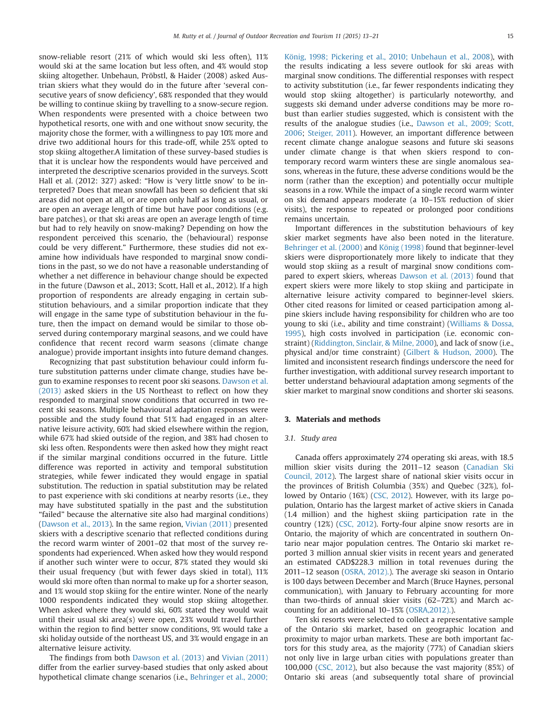snow-reliable resort (21% of which would ski less often), 11% would ski at the same location but less often, and 4% would stop skiing altogether. Unbehaun, Pröbstl, & Haider (2008) asked Austrian skiers what they would do in the future after 'several consecutive years of snow deficiency', 68% responded that they would be willing to continue skiing by travelling to a snow-secure region. When respondents were presented with a choice between two hypothetical resorts, one with and one without snow security, the majority chose the former, with a willingness to pay 10% more and drive two additional hours for this trade-off, while 25% opted to stop skiing altogether.A limitation of these survey-based studies is that it is unclear how the respondents would have perceived and interpreted the descriptive scenarios provided in the surveys. Scott Hall et al. (2012: 327) asked: "How is 'very little snow' to be interpreted? Does that mean snowfall has been so deficient that ski areas did not open at all, or are open only half as long as usual, or are open an average length of time but have poor conditions (e.g. bare patches), or that ski areas are open an average length of time but had to rely heavily on snow-making? Depending on how the respondent perceived this scenario, the (behavioural) response could be very different." Furthermore, these studies did not examine how individuals have responded to marginal snow conditions in the past, so we do not have a reasonable understanding of whether a net difference in behaviour change should be expected in the future (Dawson et al., 2013; Scott, Hall et al., 2012). If a high proportion of respondents are already engaging in certain substitution behaviours, and a similar proportion indicate that they will engage in the same type of substitution behaviour in the future, then the impact on demand would be similar to those observed during contemporary marginal seasons, and we could have confidence that recent record warm seasons (climate change analogue) provide important insights into future demand changes.

Recognizing that past substitution behaviour could inform future substitution patterns under climate change, studies have begun to examine responses to recent poor ski seasons. [Dawson et al.](#page-7-0) [\(2013\)](#page-7-0) asked skiers in the US Northeast to reflect on how they responded to marginal snow conditions that occurred in two recent ski seasons. Multiple behavioural adaptation responses were possible and the study found that 51% had engaged in an alternative leisure activity, 60% had skied elsewhere within the region, while 67% had skied outside of the region, and 38% had chosen to ski less often. Respondents were then asked how they might react if the similar marginal conditions occurred in the future. Little difference was reported in activity and temporal substitution strategies, while fewer indicated they would engage in spatial substitution. The reduction in spatial substitution may be related to past experience with ski conditions at nearby resorts (i.e., they may have substituted spatially in the past and the substitution "failed" because the alternative site also had marginal conditions) ([Dawson et al., 2013](#page-7-0)). In the same region, [Vivian \(2011\)](#page-8-0) presented skiers with a descriptive scenario that reflected conditions during the record warm winter of 2001–02 that most of the survey respondents had experienced. When asked how they would respond if another such winter were to occur, 87% stated they would ski their usual frequency (but with fewer days skied in total), 11% would ski more often than normal to make up for a shorter season, and 1% would stop skiing for the entire winter. None of the nearly 1000 respondents indicated they would stop skiing altogether. When asked where they would ski, 60% stated they would wait until their usual ski area(s) were open, 23% would travel further within the region to find better snow conditions, 9% would take a ski holiday outside of the northeast US, and 3% would engage in an alternative leisure activity.

The findings from both [Dawson et al. \(2013\)](#page-7-0) and [Vivian \(2011\)](#page-8-0) differ from the earlier survey-based studies that only asked about hypothetical climate change scenarios (i.e., [Behringer et al., 2000;](#page-7-0) [König, 1998;](#page-7-0) [Pickering et al., 2010; Unbehaun et al., 2008\)](#page-8-0), with the results indicating a less severe outlook for ski areas with marginal snow conditions. The differential responses with respect to activity substitution (i.e., far fewer respondents indicating they would stop skiing altogether) is particularly noteworthy, and suggests ski demand under adverse conditions may be more robust than earlier studies suggested, which is consistent with the results of the analogue studies (i.e., [Dawson et al., 2009; Scott,](#page-7-0) [2006;](#page-7-0) [Steiger, 2011](#page-8-0)). However, an important difference between recent climate change analogue seasons and future ski seasons under climate change is that when skiers respond to contemporary record warm winters these are single anomalous seasons, whereas in the future, these adverse conditions would be the norm (rather than the exception) and potentially occur multiple seasons in a row. While the impact of a single record warm winter on ski demand appears moderate (a 10–15% reduction of skier visits), the response to repeated or prolonged poor conditions remains uncertain.

Important differences in the substitution behaviours of key skier market segments have also been noted in the literature. [Behringer et al. \(2000\)](#page-7-0) and [König \(1998\)](#page-7-0) found that beginner-level skiers were disproportionately more likely to indicate that they would stop skiing as a result of marginal snow conditions compared to expert skiers, whereas [Dawson et al. \(2013\)](#page-7-0) found that expert skiers were more likely to stop skiing and participate in alternative leisure activity compared to beginner-level skiers. Other cited reasons for limited or ceased participation among alpine skiers include having responsibility for children who are too young to ski (i.e., ability and time constraint) ([Williams & Dossa,](#page-8-0) [1995](#page-8-0)), high costs involved in participation (i.e. economic constraint) [\(Riddington, Sinclair, & Milne, 2000\)](#page-7-0), and lack of snow (i.e., physical and/or time constraint) ([Gilbert](#page-7-0) & [Hudson, 2000\)](#page-7-0). The limited and inconsistent research findings underscore the need for further investigation, with additional survey research important to better understand behavioural adaptation among segments of the skier market to marginal snow conditions and shorter ski seasons.

#### 3. Materials and methods

#### 3.1. Study area

Canada offers approximately 274 operating ski areas, with 18.5 million skier visits during the 2011–12 season ([Canadian Ski](#page-7-0) [Council, 2012](#page-7-0)). The largest share of national skier visits occur in the provinces of British Columbia (35%) and Quebec (32%), followed by Ontario (16%) [\(CSC, 2012\)](#page-7-0). However, with its large population, Ontario has the largest market of active skiers in Canada (1.4 million) and the highest skiing participation rate in the country (12%) [\(CSC, 2012](#page-7-0)). Forty-four alpine snow resorts are in Ontario, the majority of which are concentrated in southern Ontario near major population centres. The Ontario ski market reported 3 million annual skier visits in recent years and generated an estimated CAD\$228.3 million in total revenues during the 2011–12 season [\(OSRA, 2012\).](#page-7-0)). The average ski season in Ontario is 100 days between December and March (Bruce Haynes, personal communication), with January to February accounting for more than two-thirds of annual skier visits (62–72%) and March accounting for an additional 10–15% ([OSRA,2012\).\)](#page-7-0).

Ten ski resorts were selected to collect a representative sample of the Ontario ski market, based on geographic location and proximity to major urban markets. These are both important factors for this study area, as the majority (77%) of Canadian skiers not only live in large urban cities with populations greater than 100,000 [\(CSC, 2012](#page-7-0)), but also because the vast majority (85%) of Ontario ski areas (and subsequently total share of provincial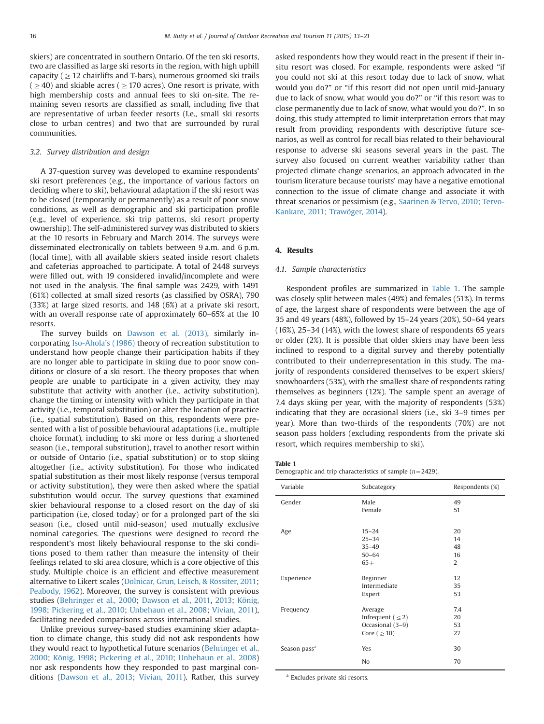skiers) are concentrated in southern Ontario. Of the ten ski resorts, two are classified as large ski resorts in the region, with high uphill capacity ( $\geq$  12 chairlifts and T-bars), numerous groomed ski trails  $( \geq 40)$  and skiable acres ( $\geq 170$  acres). One resort is private, with high membership costs and annual fees to ski on-site. The remaining seven resorts are classified as small, including five that are representative of urban feeder resorts (I.e., small ski resorts close to urban centres) and two that are surrounded by rural communities.

#### 3.2. Survey distribution and design

A 37-question survey was developed to examine respondents' ski resort preferences (e.g., the importance of various factors on deciding where to ski), behavioural adaptation if the ski resort was to be closed (temporarily or permanently) as a result of poor snow conditions, as well as demographic and ski participation profile (e.g., level of experience, ski trip patterns, ski resort property ownership). The self-administered survey was distributed to skiers at the 10 resorts in February and March 2014. The surveys were disseminated electronically on tablets between 9 a.m. and 6 p.m. (local time), with all available skiers seated inside resort chalets and cafeterias approached to participate. A total of 2448 surveys were filled out, with 19 considered invalid/incomplete and were not used in the analysis. The final sample was 2429, with 1491 (61%) collected at small sized resorts (as classified by OSRA), 790 (33%) at large sized resorts, and 148 (6%) at a private ski resort, with an overall response rate of approximately 60–65% at the 10 resorts.

The survey builds on [Dawson et al. \(2013\),](#page-7-0) similarly incorporating [Iso-Ahola](#page-7-0)'s (1986) theory of recreation substitution to understand how people change their participation habits if they are no longer able to participate in skiing due to poor snow conditions or closure of a ski resort. The theory proposes that when people are unable to participate in a given activity, they may substitute that activity with another (i.e., activity substitution), change the timing or intensity with which they participate in that activity (i.e., temporal substitution) or alter the location of practice (i.e., spatial substitution). Based on this, respondents were presented with a list of possible behavioural adaptations (i.e., multiple choice format), including to ski more or less during a shortened season (i.e., temporal substitution), travel to another resort within or outside of Ontario (i.e., spatial substitution) or to stop skiing altogether (i.e., activity substitution). For those who indicated spatial substitution as their most likely response (versus temporal or activity substitution), they were then asked where the spatial substitution would occur. The survey questions that examined skier behavioural response to a closed resort on the day of ski participation (i.e, closed today) or for a prolonged part of the ski season (i.e., closed until mid-season) used mutually exclusive nominal categories. The questions were designed to record the respondent's most likely behavioural response to the ski conditions posed to them rather than measure the intensity of their feelings related to ski area closure, which is a core objective of this study. Multiple choice is an efficient and effective measurement alternative to Likert scales [\(Dolnicar, Grun, Leisch, & Rossiter, 2011;](#page-7-0) [Peabody, 1962](#page-7-0)). Moreover, the survey is consistent with previous studies ([Behringer et al., 2000](#page-7-0); [Dawson et al., 2011,](#page-7-0) [2013;](#page-7-0) [König,](#page-7-0) [1998](#page-7-0); [Pickering et al., 2010](#page-7-0); [Unbehaun et al., 2008;](#page-8-0) [Vivian, 2011\)](#page-8-0), facilitating needed comparisons across international studies.

Unlike previous survey-based studies examining skier adaptation to climate change, this study did not ask respondents how they would react to hypothetical future scenarios [\(Behringer et al.,](#page-7-0) [2000](#page-7-0); [König, 1998](#page-7-0); [Pickering et al., 2010](#page-8-0); [Unbehaun et al., 2008\)](#page-7-0) nor ask respondents how they responded to past marginal conditions [\(Dawson et al., 2013](#page-8-0); [Vivian, 2011](#page-7-0)). Rather, this survey asked respondents how they would react in the present if their insitu resort was closed. For example, respondents were asked "if you could not ski at this resort today due to lack of snow, what would you do?" or "if this resort did not open until mid-January due to lack of snow, what would you do?" or "if this resort was to close permanently due to lack of snow, what would you do?". In so doing, this study attempted to limit interpretation errors that may result from providing respondents with descriptive future scenarios, as well as control for recall bias related to their behavioural response to adverse ski seasons several years in the past. The survey also focused on current weather variability rather than projected climate change scenarios, an approach advocated in the tourism literature because tourists' may have a negative emotional connection to the issue of climate change and associate it with threat scenarios or pessimism (e.g., [Saarinen](#page-7-0) & [Tervo, 2010](#page-7-0); [Tervo-](#page-8-0)[Kankare, 2011; Trawöger, 2014\)](#page-8-0).

### 4. Results

#### 4.1. Sample characteristics

Respondent profiles are summarized in Table 1. The sample was closely split between males (49%) and females (51%). In terms of age, the largest share of respondents were between the age of 35 and 49 years (48%), followed by 15–24 years (20%), 50–64 years (16%), 25–34 (14%), with the lowest share of respondents 65 years or older (2%). It is possible that older skiers may have been less inclined to respond to a digital survey and thereby potentially contributed to their underrepresentation in this study. The majority of respondents considered themselves to be expert skiers/ snowboarders (53%), with the smallest share of respondents rating themselves as beginners (12%). The sample spent an average of 7.4 days skiing per year, with the majority of respondents (53%) indicating that they are occasional skiers (i.e., ski 3–9 times per year). More than two-thirds of the respondents (70%) are not season pass holders (excluding respondents from the private ski resort, which requires membership to ski).

### Table 1

Demographic and trip characteristics of sample ( $n=2429$ ).

| Variable                 | Subcategory                                                                | Respondents (%)           |
|--------------------------|----------------------------------------------------------------------------|---------------------------|
| Gender                   | Male<br>Female                                                             | 49<br>51                  |
| Age                      | $15 - 24$<br>$25 - 34$<br>$35 - 49$<br>$50 - 64$<br>$65+$                  | 20<br>14<br>48<br>16<br>2 |
| Experience               | Beginner<br>Intermediate<br>Expert                                         | 12<br>35<br>53            |
| Frequency                | Average<br>Infrequent ( $\leq$ 2)<br>Occasional (3-9)<br>Core ( $\geq$ 10) | 7.4<br>20<br>53<br>27     |
| Season pass <sup>a</sup> | Yes<br>N <sub>o</sub>                                                      | 30<br>70                  |

<sup>a</sup> Excludes private ski resorts.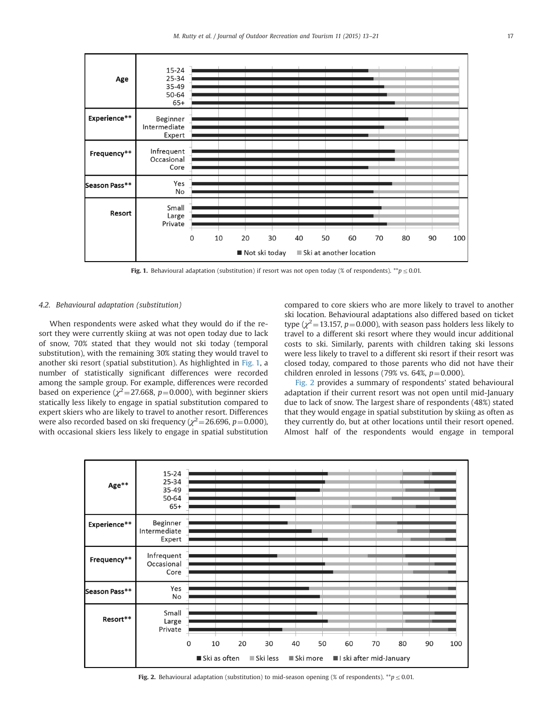

Fig. 1. Behavioural adaptation (substitution) if resort was not open today (% of respondents). \*\*p  $\leq 0.01$ .

#### 4.2. Behavioural adaptation (substitution)

When respondents were asked what they would do if the resort they were currently skiing at was not open today due to lack of snow, 70% stated that they would not ski today (temporal substitution), with the remaining 30% stating they would travel to another ski resort (spatial substitution). As highlighted in Fig. 1, a number of statistically significant differences were recorded among the sample group. For example, differences were recorded based on experience ( $\chi^2$ =27.668, p=0.000), with beginner skiers statically less likely to engage in spatial substitution compared to expert skiers who are likely to travel to another resort. Differences were also recorded based on ski frequency ( $\chi^2$  = 26.696, p = 0.000), with occasional skiers less likely to engage in spatial substitution compared to core skiers who are more likely to travel to another ski location. Behavioural adaptations also differed based on ticket type ( $\chi^2$  = 13.157, p = 0.000), with season pass holders less likely to travel to a different ski resort where they would incur additional costs to ski. Similarly, parents with children taking ski lessons were less likely to travel to a different ski resort if their resort was closed today, compared to those parents who did not have their children enroled in lessons (79% vs. 64%,  $p=0.000$ ).

Fig. 2 provides a summary of respondents' stated behavioural adaptation if their current resort was not open until mid-January due to lack of snow. The largest share of respondents (48%) stated that they would engage in spatial substitution by skiing as often as they currently do, but at other locations until their resort opened. Almost half of the respondents would engage in temporal



Fig. 2. Behavioural adaptation (substitution) to mid-season opening (% of respondents).  $^{**}p \leq 0.01$ .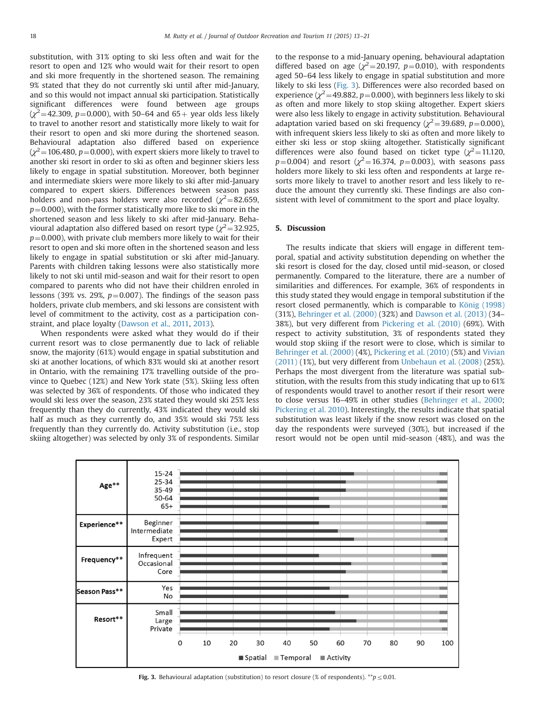substitution, with 31% opting to ski less often and wait for the resort to open and 12% who would wait for their resort to open and ski more frequently in the shortened season. The remaining 9% stated that they do not currently ski until after mid-January, and so this would not impact annual ski participation. Statistically significant differences were found between age groups  $(\chi^2$  = 42.309, p = 0.000), with 50–64 and 65 + year olds less likely to travel to another resort and statistically more likely to wait for their resort to open and ski more during the shortened season. Behavioural adaptation also differed based on experience  $(\gamma^2=106.480, p=0.000)$ , with expert skiers more likely to travel to another ski resort in order to ski as often and beginner skiers less likely to engage in spatial substitution. Moreover, both beginner and intermediate skiers were more likely to ski after mid-January compared to expert skiers. Differences between season pass holders and non-pass holders were also recorded ( $\chi^2$ =82.659,  $p=0.000$ ), with the former statistically more like to ski more in the shortened season and less likely to ski after mid-January. Behavioural adaptation also differed based on resort type ( $\chi^2$  = 32.925,  $p=0.000$ ), with private club members more likely to wait for their resort to open and ski more often in the shortened season and less likely to engage in spatial substitution or ski after mid-January. Parents with children taking lessons were also statistically more likely to not ski until mid-season and wait for their resort to open compared to parents who did not have their children enroled in lessons (39% vs. 29%,  $p=0.007$ ). The findings of the season pass holders, private club members, and ski lessons are consistent with level of commitment to the activity, cost as a participation constraint, and place loyalty ([Dawson et al., 2011](#page-7-0), [2013\)](#page-7-0).

When respondents were asked what they would do if their current resort was to close permanently due to lack of reliable snow, the majority (61%) would engage in spatial substitution and ski at another locations, of which 83% would ski at another resort in Ontario, with the remaining 17% travelling outside of the province to Quebec (12%) and New York state (5%). Skiing less often was selected by 36% of respondents. Of those who indicated they would ski less over the season, 23% stated they would ski 25% less frequently than they do currently, 43% indicated they would ski half as much as they currently do, and 35% would ski 75% less frequently than they currently do. Activity substitution (i.e., stop skiing altogether) was selected by only 3% of respondents. Similar

to the response to a mid-January opening, behavioural adaptation differed based on age ( $\chi^2$  = 20.197, p = 0.010), with respondents aged 50–64 less likely to engage in spatial substitution and more likely to ski less (Fig. 3). Differences were also recorded based on experience ( $\chi^2$  = 49.882, p = 0.000), with beginners less likely to ski as often and more likely to stop skiing altogether. Expert skiers were also less likely to engage in activity substitution. Behavioural adaptation varied based on ski frequency ( $\chi^2$  = 39.689, p = 0.000), with infrequent skiers less likely to ski as often and more likely to either ski less or stop skiing altogether. Statistically significant differences were also found based on ticket type ( $\chi^2$  = 11.120,  $p=0.004$ ) and resort ( $\chi^2$ =16.374, p=0.003), with seasons pass holders more likely to ski less often and respondents at large resorts more likely to travel to another resort and less likely to reduce the amount they currently ski. These findings are also consistent with level of commitment to the sport and place loyalty.

#### 5. Discussion

The results indicate that skiers will engage in different temporal, spatial and activity substitution depending on whether the ski resort is closed for the day, closed until mid-season, or closed permanently. Compared to the literature, there are a number of similarities and differences. For example, 36% of respondents in this study stated they would engage in temporal substitution if the resort closed permanently, which is comparable to [König \(1998\)](#page-7-0) (31%), [Behringer et al. \(2000\)](#page-7-0) (32%) and [Dawson et al. \(2013\)](#page-7-0) (34– 38%), but very different from [Pickering et al. \(2010\)](#page-7-0) (69%). With respect to activity substitution, 3% of respondents stated they would stop skiing if the resort were to close, which is similar to [Behringer et al. \(2000\)](#page-7-0) (4%), [Pickering et al. \(2010\)](#page-7-0) (5%) and [Vivian](#page-8-0) [\(2011\)](#page-8-0) (1%), but very different from [Unbehaun et al. \(2008\)](#page-8-0) (25%). Perhaps the most divergent from the literature was spatial substitution, with the results from this study indicating that up to 61% of respondents would travel to another resort if their resort were to close versus 16–49% in other studies [\(Behringer et al., 2000;](#page-7-0) [Pickering et al. 2010](#page-7-0)). Interestingly, the results indicate that spatial substitution was least likely if the snow resort was closed on the day the respondents were surveyed (30%), but increased if the resort would not be open until mid-season (48%), and was the



Fig. 3. Behavioural adaptation (substitution) to resort closure (% of respondents). \*\* $p \leq 0.01$ .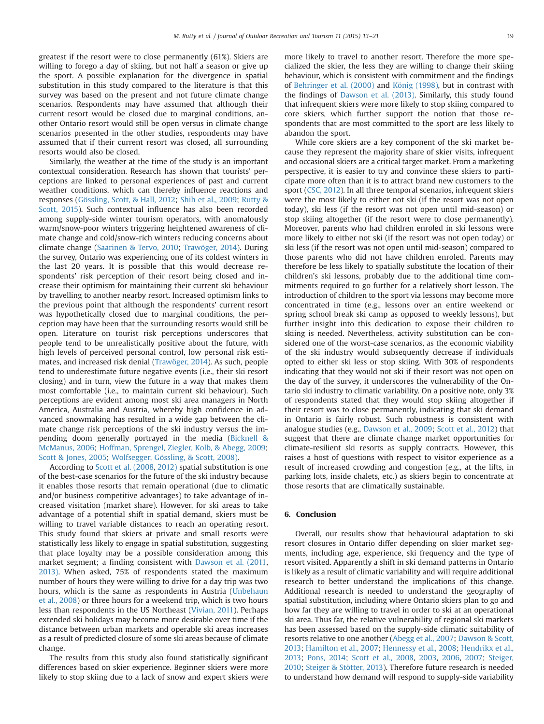greatest if the resort were to close permanently (61%). Skiers are willing to forego a day of skiing, but not half a season or give up the sport. A possible explanation for the divergence in spatial substitution in this study compared to the literature is that this survey was based on the present and not future climate change scenarios. Respondents may have assumed that although their current resort would be closed due to marginal conditions, another Ontario resort would still be open versus in climate change scenarios presented in the other studies, respondents may have assumed that if their current resort was closed, all surrounding resorts would also be closed.

Similarly, the weather at the time of the study is an important contextual consideration. Research has shown that tourists' perceptions are linked to personal experiences of past and current weather conditions, which can thereby influence reactions and responses ([Gössling, Scott, & Hall, 2012](#page-7-0); [Shih et al., 2009](#page-7-0); [Rutty &](#page-8-0) [Scott, 2015\)](#page-8-0). Such contextual influence has also been recorded among supply-side winter tourism operators, with anomalously warm/snow-poor winters triggering heightened awareness of climate change and cold/snow-rich winters reducing concerns about climate change [\(Saarinen](#page-7-0) [& Tervo, 2010](#page-7-0); [Trawöger, 2014](#page-8-0)). During the survey, Ontario was experiencing one of its coldest winters in the last 20 years. It is possible that this would decrease respondents' risk perception of their resort being closed and increase their optimism for maintaining their current ski behaviour by travelling to another nearby resort. Increased optimism links to the previous point that although the respondents' current resort was hypothetically closed due to marginal conditions, the perception may have been that the surrounding resorts would still be open. Literature on tourist risk perceptions underscores that people tend to be unrealistically positive about the future, with high levels of perceived personal control, low personal risk estimates, and increased risk denial ([Trawöger, 2014](#page-8-0)). As such, people tend to underestimate future negative events (i.e., their ski resort closing) and in turn, view the future in a way that makes them most comfortable (i.e., to maintain current ski behaviour). Such perceptions are evident among most ski area managers in North America, Australia and Austria, whereby high confidence in advanced snowmaking has resulted in a wide gap between the climate change risk perceptions of the ski industry versus the impending doom generally portrayed in the media [\(Bicknell &](#page-7-0) [McManus, 2006](#page-7-0); [Hoffman, Sprengel, Ziegler, Kolb,](#page-7-0) & [Abegg, 2009;](#page-7-0) [Scott](#page-7-0) & [Jones, 2005;](#page-7-0) [Wolfsegger, Gössling, & Scott, 2008\)](#page-8-0).

According to [Scott et al. \(2008](#page-7-0), [2012\)](#page-8-0) spatial substitution is one of the best-case scenarios for the future of the ski industry because it enables those resorts that remain operational (due to climatic and/or business competitive advantages) to take advantage of increased visitation (market share). However, for ski areas to take advantage of a potential shift in spatial demand, skiers must be willing to travel variable distances to reach an operating resort. This study found that skiers at private and small resorts were statistically less likely to engage in spatial substitution, suggesting that place loyalty may be a possible consideration among this market segment; a finding consistent with [Dawson et al. \(2011,](#page-7-0) [2013\).](#page-7-0) When asked, 75% of respondents stated the maximum number of hours they were willing to drive for a day trip was two hours, which is the same as respondents in Austria ([Unbehaun](#page-8-0) [et al., 2008](#page-8-0)) or three hours for a weekend trip, which is two hours less than respondents in the US Northeast ([Vivian, 2011\)](#page-8-0). Perhaps extended ski holidays may become more desirable over time if the distance between urban markets and operable ski areas increases as a result of predicted closure of some ski areas because of climate change.

The results from this study also found statistically significant differences based on skier experience. Beginner skiers were more likely to stop skiing due to a lack of snow and expert skiers were more likely to travel to another resort. Therefore the more specialized the skier, the less they are willing to change their skiing behaviour, which is consistent with commitment and the findings of [Behringer et al. \(2000\)](#page-7-0) and [König \(1998\),](#page-7-0) but in contrast with the findings of [Dawson et al. \(2013\).](#page-7-0) Similarly, this study found that infrequent skiers were more likely to stop skiing compared to core skiers, which further support the notion that those respondents that are most committed to the sport are less likely to abandon the sport.

While core skiers are a key component of the ski market because they represent the majority share of skier visits, infrequent and occasional skiers are a critical target market. From a marketing perspective, it is easier to try and convince these skiers to participate more often than it is to attract brand new customers to the sport [\(CSC, 2012\)](#page-7-0). In all three temporal scenarios, infrequent skiers were the most likely to either not ski (if the resort was not open today), ski less (if the resort was not open until mid-season) or stop skiing altogether (if the resort were to close permanently). Moreover, parents who had children enroled in ski lessons were more likely to either not ski (if the resort was not open today) or ski less (if the resort was not open until mid-season) compared to those parents who did not have children enroled. Parents may therefore be less likely to spatially substitute the location of their children's ski lessons, probably due to the additional time commitments required to go further for a relatively short lesson. The introduction of children to the sport via lessons may become more concentrated in time (e.g., lessons over an entire weekend or spring school break ski camp as opposed to weekly lessons), but further insight into this dedication to expose their children to skiing is needed. Nevertheless, activity substitution can be considered one of the worst-case scenarios, as the economic viability of the ski industry would subsequently decrease if individuals opted to either ski less or stop skiing. With 30% of respondents indicating that they would not ski if their resort was not open on the day of the survey, it underscores the vulnerability of the Ontario ski industry to climatic variability. On a positive note, only 3% of respondents stated that they would stop skiing altogether if their resort was to close permanently, indicating that ski demand in Ontario is fairly robust. Such robustness is consistent with analogue studies (e.g., [Dawson et al., 2009](#page-7-0); [Scott et al., 2012\)](#page-8-0) that suggest that there are climate change market opportunities for climate-resilient ski resorts as supply contracts. However, this raises a host of questions with respect to visitor experience as a result of increased crowding and congestion (e.g., at the lifts, in parking lots, inside chalets, etc.) as skiers begin to concentrate at those resorts that are climatically sustainable.

#### 6. Conclusion

Overall, our results show that behavioural adaptation to ski resort closures in Ontario differ depending on skier market segments, including age, experience, ski frequency and the type of resort visited. Apparently a shift in ski demand patterns in Ontario is likely as a result of climatic variability and will require additional research to better understand the implications of this change. Additional research is needed to understand the geography of spatial substitution, including where Ontario skiers plan to go and how far they are willing to travel in order to ski at an operational ski area. Thus far, the relative vulnerability of regional ski markets has been assessed based on the supply-side climatic suitability of resorts relative to one another [\(Abegg et al., 2007;](#page-7-0) [Dawson](#page-7-0) & [Scott,](#page-7-0) [2013;](#page-7-0) [Hamilton et al., 2007](#page-7-0); [Hennessy et al., 2008;](#page-7-0) [Hendrikx et al.,](#page-7-0) [2013;](#page-7-0) [Pons, 2014;](#page-7-0) [Scott et al., 2008](#page-7-0), [2003](#page-7-0), [2006](#page-8-0), [2007](#page-7-0); [Steiger,](#page-8-0) [2010;](#page-8-0) [Steiger & Stötter, 2013\)](#page-8-0). Therefore future research is needed to understand how demand will respond to supply-side variability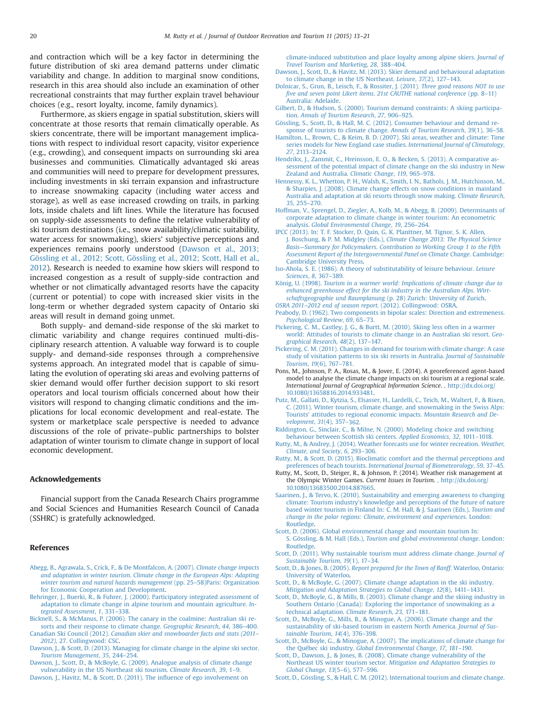<span id="page-7-0"></span>and contraction which will be a key factor in determining the future distribution of ski area demand patterns under climatic variability and change. In addition to marginal snow conditions, research in this area should also include an examination of other recreational constraints that may further explain travel behaviour choices (e.g., resort loyalty, income, family dynamics).

Furthermore, as skiers engage in spatial substitution, skiers will concentrate at those resorts that remain climatically operable. As skiers concentrate, there will be important management implications with respect to individual resort capacity, visitor experience (e.g., crowding), and consequent impacts on surrounding ski area businesses and communities. Climatically advantaged ski areas and communities will need to prepare for development pressures, including investments in ski terrain expansion and infrastructure to increase snowmaking capacity (including water access and storage), as well as ease increased crowding on trails, in parking lots, inside chalets and lift lines. While the literature has focused on supply-side assessments to define the relative vulnerability of ski tourism destinations (i.e., snow availability/climatic suitability, water access for snowmaking), skiers' subjective perceptions and experiences remains poorly understood (Dawson et al., 2013; Gössling et al., 2012; Scott, Gössling et al., 2012; Scott, Hall et al., 2012). Research is needed to examine how skiers will respond to increased congestion as a result of supply-side contraction and whether or not climatically advantaged resorts have the capacity (current or potential) to cope with increased skier visits in the long-term or whether degraded system capacity of Ontario ski areas will result in demand going unmet.

Both supply- and demand-side response of the ski market to climatic variability and change requires continued multi-disciplinary research attention. A valuable way forward is to couple supply- and demand-side responses through a comprehensive systems approach. An integrated model that is capable of simulating the evolution of operating ski areas and evolving patterns of skier demand would offer further decision support to ski resort operators and local tourism officials concerned about how their visitors will respond to changing climatic conditions and the implications for local economic development and real-estate. The system or marketplace scale perspective is needed to advance discussions of the role of private–public partnerships to bolster adaptation of winter tourism to climate change in support of local economic development.

#### Acknowledgements

Financial support from the Canada Research Chairs programme and Social Sciences and Humanities Research Council of Canada (SSHRC) is gratefully acknowledged.

#### References

- [Abegg, B., Agrawala, S., Crick, F., & De Montfalcon, A. \(2007\).](http://refhub.elsevier.com/S2213-0780(15)00057-2/sbref1) Climate change impacts and adaptation in winter tourism. [Climate change in the European Alps: Adapting](http://refhub.elsevier.com/S2213-0780(15)00057-2/sbref1) [winter tourism and natural hazards management](http://refhub.elsevier.com/S2213-0780(15)00057-2/sbref1) (pp. 25–58)Paris: Organization [for Economic Cooperation and Development.](http://refhub.elsevier.com/S2213-0780(15)00057-2/sbref1)
- [Behringer, J., Buerki, R., & Fuhrer, J. \(2000\). Participatory integrated assessment of](http://refhub.elsevier.com/S2213-0780(15)00057-2/sbref2) [adaptation to climate change in alpine tourism and mountain agriculture.](http://refhub.elsevier.com/S2213-0780(15)00057-2/sbref2) In[tegrated Assessment](http://refhub.elsevier.com/S2213-0780(15)00057-2/sbref2), 1, 331–338.
- [Bicknell, S., & McManus, P. \(2006\). The canary in the coalmine: Australian ski re](http://refhub.elsevier.com/S2213-0780(15)00057-2/sbref3)[sorts and their response to climate change.](http://refhub.elsevier.com/S2213-0780(15)00057-2/sbref3) Geographic Research, 44, 386–400.
- Canadian Ski Council (2012). [Canadian skier and snowboarder facts and stats \(2011](http://refhub.elsevier.com/S2213-0780(15)00057-2/sbref4) 2012)[, 27. Collingwood: CSC.](http://refhub.elsevier.com/S2213-0780(15)00057-2/sbref4)
- [Dawson, J., & Scott, D. \(2013\). Managing for climate change in the alpine ski sector.](http://refhub.elsevier.com/S2213-0780(15)00057-2/sbref5) [Tourism Management](http://refhub.elsevier.com/S2213-0780(15)00057-2/sbref5), 35, 244–254.
- [Dawson, J., Scott, D., & McBoyle, G. \(2009\). Analogue analysis of climate change](http://refhub.elsevier.com/S2213-0780(15)00057-2/sbref6) [vulnerability in the US Northeast ski tourism.](http://refhub.elsevier.com/S2213-0780(15)00057-2/sbref6) Climate Research, 39, 1-9. [Dawson, J., Havitz, M., & Scott, D. \(2011\). The in](http://refhub.elsevier.com/S2213-0780(15)00057-2/sbref7)fluence of ego involvement on

[climate-induced substitution and place loyalty among alpine skiers.](http://refhub.elsevier.com/S2213-0780(15)00057-2/sbref7) Journal of [Travel Tourism and Marketing](http://refhub.elsevier.com/S2213-0780(15)00057-2/sbref7), 28, 388–404.

- [Dawson, J., Scott, D., & Havitz, M. \(2013\). Skier demand and behavioural adaptation](http://refhub.elsevier.com/S2213-0780(15)00057-2/sbref8) [to climate change in the US Northeast.](http://refhub.elsevier.com/S2213-0780(15)00057-2/sbref8) Leisure, 37(2), 127–143.
- [Dolnicar, S., Grun, B., Leisch, F., & Rossiter, J. \(2011\).](http://refhub.elsevier.com/S2213-0780(15)00057-2/sbref9) Three good reasons NOT to use five and seven point Likert items. [21st CAUTHE national conference](http://refhub.elsevier.com/S2213-0780(15)00057-2/sbref9) (pp. 8–11) [Australia: Adelaide.](http://refhub.elsevier.com/S2213-0780(15)00057-2/sbref9)
- [Gilbert, D., & Hudson, S. \(2000\). Tourism demand constraints: A skiing participa](http://refhub.elsevier.com/S2213-0780(15)00057-2/sbref10)tion. [Annals of Tourism Research](http://refhub.elsevier.com/S2213-0780(15)00057-2/sbref10), 27, 906–925.
- [Gössling, S., Scott, D., & Hall, M. C. \(2012\). Consumer behaviour and demand re](http://refhub.elsevier.com/S2213-0780(15)00057-2/sbref11)[sponse of tourists to climate change.](http://refhub.elsevier.com/S2213-0780(15)00057-2/sbref11) Annals of Tourism Research, 39(1), 36–58.
- [Hamilton, L., Brown, C., & Keim, B. D. \(2007\). Ski areas, weather and climate: Time](http://refhub.elsevier.com/S2213-0780(15)00057-2/sbref12) [series models for New England case studies.](http://refhub.elsevier.com/S2213-0780(15)00057-2/sbref12) International Journal of Climatology, 27[, 2113](http://refhub.elsevier.com/S2213-0780(15)00057-2/sbref12)–2124.
- [Hendrikx, J., Zammit, C., Hreinsson, E. O., & Becken, S. \(2013\). A comparative as](http://refhub.elsevier.com/S2213-0780(15)00057-2/sbref13)[sessment of the potential impact of climate change on the ski industry in New](http://refhub.elsevier.com/S2213-0780(15)00057-2/sbref13) [Zealand and Australia.](http://refhub.elsevier.com/S2213-0780(15)00057-2/sbref13) Climatic Change, 119, 965–978.
- [Hennessy, K. L., Whetton, P. H., Walsh, K., Smith, I. N., Bathols, J. M., Hutchinson, M.,](http://refhub.elsevier.com/S2213-0780(15)00057-2/sbref14) [& Sharpies, J. \(2008\). Climate change effects on snow conditions in mainland](http://refhub.elsevier.com/S2213-0780(15)00057-2/sbref14) [Australia and adaptation at ski resorts through snow making.](http://refhub.elsevier.com/S2213-0780(15)00057-2/sbref14) Climate Research, 35[, 255](http://refhub.elsevier.com/S2213-0780(15)00057-2/sbref14)–270.
- [Hoffman, V., Sprengel, D., Ziegler, A., Kolb, M., & Abegg, B. \(2009\). Determinants of](http://refhub.elsevier.com/S2213-0780(15)00057-2/sbref15) [corporate adaptation to climate change in winter tourism: An econometric](http://refhub.elsevier.com/S2213-0780(15)00057-2/sbref15) analysis. [Global Environmental Change](http://refhub.elsevier.com/S2213-0780(15)00057-2/sbref15), 19, 256–264.
- [IPCC \(2013\). In: T. F. Stocker, D. Quin, G. K. Planttner, M. Tignor, S. K. Allen,](http://refhub.elsevier.com/S2213-0780(15)00057-2/sbref16) J. Boschung, & P. M. Midgley (Eds.), [Climate Change 2013: The Physical Science](http://refhub.elsevier.com/S2213-0780(15)00057-2/sbref16) Basis—[Summary for Policymakers. Contribution to Working Group 1 to the Fifth](http://refhub.elsevier.com/S2213-0780(15)00057-2/sbref16) [Assessment Report of the Intergovernmental Panel on Climate Change](http://refhub.elsevier.com/S2213-0780(15)00057-2/sbref16). Cambridge: [Cambridge University Press.](http://refhub.elsevier.com/S2213-0780(15)00057-2/sbref16)
- [Iso-Ahola, S. E. \(1986\). A theory of substitutability of leisure behaviour.](http://refhub.elsevier.com/S2213-0780(15)00057-2/sbref17) Leisure [Sciences](http://refhub.elsevier.com/S2213-0780(15)00057-2/sbref17), 8, 367–389.
- König, U. (1998). [Tourism in a warmer world: Implications of climate change due to](http://refhub.elsevier.com/S2213-0780(15)00057-2/sbref18) [enhanced greenhouse effect for the ski industry in the Australian Alps](http://refhub.elsevier.com/S2213-0780(15)00057-2/sbref18). Wirtschaftsgeographie und Raumplanung [\(p. 28\) Zurich: University of Zurich.](http://refhub.elsevier.com/S2213-0780(15)00057-2/sbref18)
- OSRA 2011–2012 end of season report[. \(2012\). Collingwood: OSRA.](http://refhub.elsevier.com/S2213-0780(15)00057-2/sbref19)
- [Peabody, D. \(1962\). Two components in bipolar scales: Direction and extremeness.](http://refhub.elsevier.com/S2213-0780(15)00057-2/sbref20) [Psychological Review](http://refhub.elsevier.com/S2213-0780(15)00057-2/sbref20), 69, 65–73.
- [Pickering, C. M., Castley, J. G., & Burtt, M. \(2010\). Skiing less often in a warmer](http://refhub.elsevier.com/S2213-0780(15)00057-2/sbref21) [world: Attitudes of tourists to climate change in an Australian ski resort.](http://refhub.elsevier.com/S2213-0780(15)00057-2/sbref21) Geo[graphical Research](http://refhub.elsevier.com/S2213-0780(15)00057-2/sbref21), 48(2), 137–147.
- [Pickering, C. M. \(2011\). Changes in demand for tourism with climate change: A case](http://refhub.elsevier.com/S2213-0780(15)00057-2/sbref22) [study of visitation patterns to six ski resorts in Australia.](http://refhub.elsevier.com/S2213-0780(15)00057-2/sbref22) Journal of Sustainable Tourism, 19[\(6\), 767](http://refhub.elsevier.com/S2213-0780(15)00057-2/sbref22)–781.
- Pons, M., Johnson, P. A., Rosas, M., & Jover, E. (2014). A georeferenced agent-based model to analyse the climate change impacts on ski tourism at a regional scale. International Journal of Geographical Information Science. , [http://dx.doi.org/](http://dx.doi.org/10.1080/13658816.2014.933481) [10.1080/13658816.2014.933481.](http://dx.doi.org/10.1080/13658816.2014.933481)
- [Putz, M., Gallati, D., Kytzia, S., Elsasser, H., Lardelli, C., Teich, M., Waltert, F., & Rixen,](http://refhub.elsevier.com/S2213-0780(15)00057-2/sbref24) [C. \(2011\). Winter tourism, climate change, and snowmaking in the Swiss Alps:](http://refhub.elsevier.com/S2213-0780(15)00057-2/sbref24) Tourists' [attitudes to regional economic impacts.](http://refhub.elsevier.com/S2213-0780(15)00057-2/sbref24) Mountain Research and De[velopment](http://refhub.elsevier.com/S2213-0780(15)00057-2/sbref24), 31(4), 357–362.
- [Riddington, G., Sinclair, C., & Milne, N. \(2000\). Modeling choice and switching](http://refhub.elsevier.com/S2213-0780(15)00057-2/sbref25) [behaviour between Scottish ski centers.](http://refhub.elsevier.com/S2213-0780(15)00057-2/sbref25) Applied Economics, 32, 1011–1018.
- [Rutty, M., & Andrey, J. \(2014\). Weather forecasts use for winter recreation.](http://refhub.elsevier.com/S2213-0780(15)00057-2/sbref26) Weather, [Climate, and Society](http://refhub.elsevier.com/S2213-0780(15)00057-2/sbref26), 6, 293–306.
- [Rutty, M., & Scott, D. \(2015\). Bioclimatic comfort and the thermal perceptions and](http://refhub.elsevier.com/S2213-0780(15)00057-2/sbref27) preferences of beach tourists. [International Journal of Biometeorology](http://refhub.elsevier.com/S2213-0780(15)00057-2/sbref27), 59, 37–45.
- Rutty, M., Scott, D., Steiger, R., & Johnson, P. (2014). Weather risk management at the Olympic Winter Games. Current Issues in Tourism. , [http://dx.doi.org/](http://dx.doi.org/10.1080/13683500.2014.887665) [10.1080/13683500.2014.887665](http://dx.doi.org/10.1080/13683500.2014.887665).
- [Saarinen, J., & Tervo, K. \(2010\). Sustainability and emerging awareness to changing](http://refhub.elsevier.com/S2213-0780(15)00057-2/sbref29) climate: Tourism industry'[s knowledge and perceptions of the future of nature](http://refhub.elsevier.com/S2213-0780(15)00057-2/sbref29) [based winter tourism in Finland In: C. M. Hall, & J. Saarinen \(Eds.\),](http://refhub.elsevier.com/S2213-0780(15)00057-2/sbref29) Tourism and [change in the polar regions: Climate, environment and experiences](http://refhub.elsevier.com/S2213-0780(15)00057-2/sbref29). London: [Routledge.](http://refhub.elsevier.com/S2213-0780(15)00057-2/sbref29)
- [Scott, D. \(2006\). Global environmental change and mountain tourism In:](http://refhub.elsevier.com/S2213-0780(15)00057-2/sbref30) S. Gössling, & M. Hall (Eds.), [Tourism and global environmental change](http://refhub.elsevier.com/S2213-0780(15)00057-2/sbref30). London: [Routledge.](http://refhub.elsevier.com/S2213-0780(15)00057-2/sbref30)
- [Scott, D. \(2011\). Why sustainable tourism must address climate change.](http://refhub.elsevier.com/S2213-0780(15)00057-2/sbref31) Journal of [Sustainable Tourism](http://refhub.elsevier.com/S2213-0780(15)00057-2/sbref31), 19(1), 17–34.
- Scott, D., & Jones, B. (2005). [Report prepared for the Town of Banff](http://refhub.elsevier.com/S2213-0780(15)00057-2/sbref32). Waterloo, Ontario: [University of Waterloo.](http://refhub.elsevier.com/S2213-0780(15)00057-2/sbref32)
- [Scott, D., & McBoyle, G. \(2007\). Climate change adaptation in the ski industry.](http://refhub.elsevier.com/S2213-0780(15)00057-2/sbref33) [Mitigation and Adaptation Strategies to Global Change](http://refhub.elsevier.com/S2213-0780(15)00057-2/sbref33), 12(8), 1411–1431.
- [Scott, D., McBoyle, G., & Mills, B. \(2003\). Climate change and the skiing industry in](http://refhub.elsevier.com/S2213-0780(15)00057-2/sbref34) [Southern Ontario \(Canada\): Exploring the importance of snowmaking as a](http://refhub.elsevier.com/S2213-0780(15)00057-2/sbref34) [technical adaptation.](http://refhub.elsevier.com/S2213-0780(15)00057-2/sbref34) Climate Research, 23, 171–181.
- [Scott, D., McBoyle, G., Mills, B., & Minogue, A. \(2006\). Climate change and the](http://refhub.elsevier.com/S2213-0780(15)00057-2/sbref35) [sustainability of ski-based tourism in eastern North America.](http://refhub.elsevier.com/S2213-0780(15)00057-2/sbref35) Journal of Sus[tainable Tourism](http://refhub.elsevier.com/S2213-0780(15)00057-2/sbref35), 14(4), 376–398.
- [Scott, D., McBoyle, G., & Minogue, A. \(2007\). The implications of climate change for](http://refhub.elsevier.com/S2213-0780(15)00057-2/sbref36) the Québec ski industry. [Global Environmental Change](http://refhub.elsevier.com/S2213-0780(15)00057-2/sbref36), 17, 181–190.
- [Scott, D., Dawson, J., & Jones, B. \(2008\). Climate change vulnerability of the](http://refhub.elsevier.com/S2213-0780(15)00057-2/sbref37) Northeast US winter tourism sector. [Mitigation and Adaptation Strategies to](http://refhub.elsevier.com/S2213-0780(15)00057-2/sbref37) [Global Change](http://refhub.elsevier.com/S2213-0780(15)00057-2/sbref37), 13(5–6), 577–596.
- [Scott, D., Gössling, S., & Hall, C. M. \(2012\). International tourism and climate change.](http://refhub.elsevier.com/S2213-0780(15)00057-2/sbref38)